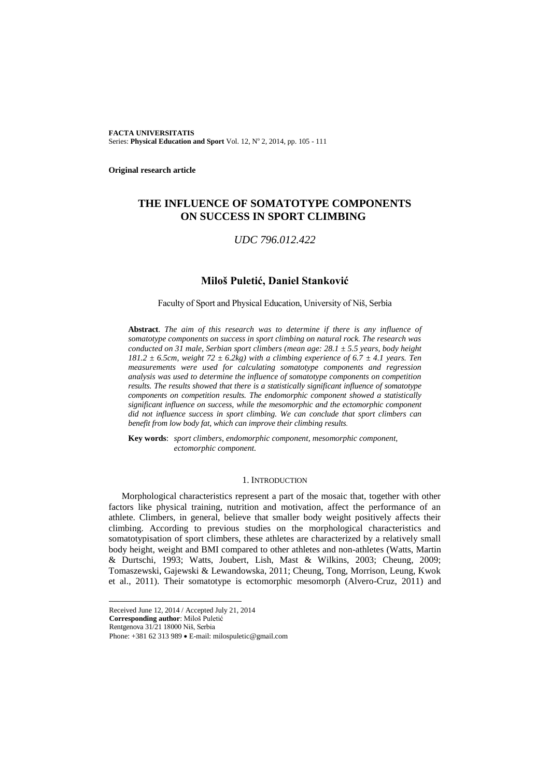**FACTA UNIVERSITATIS** Series: Physical Education and Sport Vol. 12, Nº 2, 2014, pp. 105 - 111

**Original research article**

# **THE INFLUENCE OF SOMATOTYPE COMPONENTS ON SUCCESS IN SPORT CLIMBING**

## *UDC 796.012.422*

## **Miloš Puletić, Daniel Stanković**

#### Faculty of Sport and Physical Education, University of Niš, Serbia

**Abstract**. *The aim of this research was to determine if there is any influence of somatotype components on success in sport climbing on natural rock. The research was conducted on 31 male, Serbian sport climbers (mean age: 28.1 ± 5.5 years, body height*  181.2  $\pm$  6.5cm, weight 72  $\pm$  6.2kg) with a climbing experience of 6.7  $\pm$  4.1 years. Ten *measurements were used for calculating somatotype components and regression analysis was used to determine the influence of somatotype components on competition results. The results showed that there is a statistically significant influence of somatotype components on competition results. The endomorphic component showed a statistically significant influence on success, while the mesomorphic and the ectomorphic component did not influence success in sport climbing. We can conclude that sport climbers can benefit from low body fat, which can improve their climbing results.*

**Key words**: *sport climbers, endomorphic component, mesomorphic component, ectomorphic component.*

### 1. INTRODUCTION

Morphological characteristics represent a part of the mosaic that, together with other factors like physical training, nutrition and motivation, affect the performance of an athlete. Climbers, in general, believe that smaller body weight positively affects their climbing. According to previous studies on the morphological characteristics and somatotypisation of sport climbers, these athletes are characterized by a relatively small body height, weight and BMI compared to other athletes and non-athletes (Watts, Martin & Durtschi, 1993; Watts, Joubert, Lish, Mast & Wilkins, 2003; Cheung, 2009; Tomaszewski, Gajewski & Lewandowska, 2011; Cheung, Tong, Morrison, Leung, Kwok et al., 2011). Their somatotype is ectomorphic mesomorph (Alvero-Cruz, 2011) and

**Corresponding author**: Miloš Puletić

Rentgenova 31/21 18000 Niš, Serbia

l

Received June 12, 2014 / Accepted July 21, 2014

Phone: +381 62 313 989 • E-mail: milospuletic@gmail.com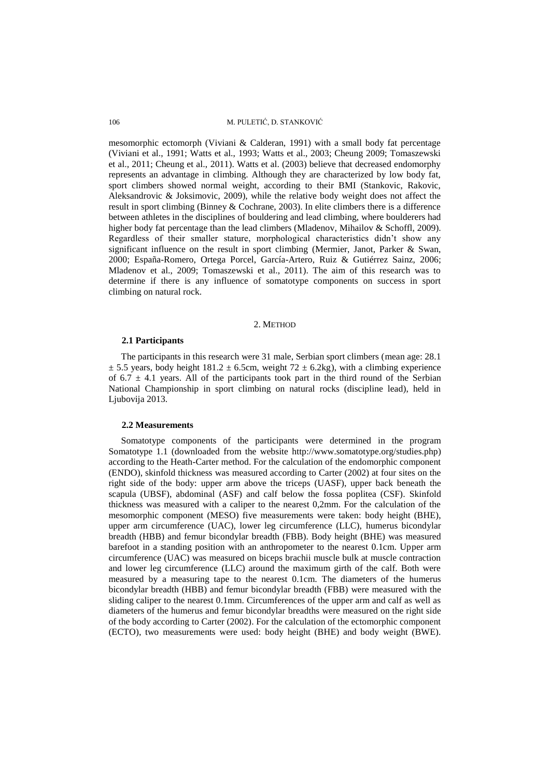106 M. PULETIĆ, D. STANKOVIĆ

mesomorphic ectomorph (Viviani & Calderan, 1991) with a small body fat percentage (Viviani et al., 1991; Watts et al., 1993; Watts et al., 2003; Cheung 2009; Tomaszewski et al., 2011; Cheung et al., 2011). Watts et al. (2003) believe that decreased endomorphy represents an advantage in climbing. Although they are characterized by low body fat, sport climbers showed normal weight, according to their BMI (Stankovic, Rakovic, Aleksandrovic & Joksimovic, 2009), while the relative body weight does not affect the result in sport climbing (Binney & Cochrane, 2003). In elite climbers there is a difference between athletes in the disciplines of bouldering and lead climbing, where boulderers had higher body fat percentage than the lead climbers (Mladenov, Mihailov & Schoffl, 2009). Regardless of their smaller stature, morphological characteristics didn't show any significant influence on the result in sport climbing (Mermier, Janot, Parker & Swan, 2000; España-Romero, Ortega Porcel, García-Artero, Ruiz & Gutiérrez Sainz, 2006; Mladenov et al., 2009; Tomaszewski et al., 2011). The aim of this research was to determine if there is any influence of somatotype components on success in sport climbing on natural rock.

#### 2. METHOD

#### **2.1 Participants**

The participants in this research were 31 male, Serbian sport climbers (mean age: 28.1  $\pm$  5.5 years, body height 181.2  $\pm$  6.5cm, weight 72  $\pm$  6.2kg), with a climbing experience of  $6.7 \pm 4.1$  years. All of the participants took part in the third round of the Serbian National Championship in sport climbing on natural rocks (discipline lead), held in Ljubovija 2013.

#### **2.2 Measurements**

Somatotype components of the participants were determined in the program Somatotype 1.1 (downloaded from the website http://www.somatotype.org/studies.php) according to the Heath-Carter method. For the calculation of the endomorphic component (ENDO), skinfold thickness was measured according to Carter (2002) at four sites on the right side of the body: upper arm above the triceps (UASF), upper back beneath the scapula (UBSF), abdominal (ASF) and calf below the fossa poplitea (CSF). Skinfold thickness was measured with a caliper to the nearest 0,2mm. For the calculation of the mesomorphic component (MESO) five measurements were taken: body height (BHE), upper arm circumference (UAC), lower leg circumference (LLC), humerus bicondylar breadth (HBB) and femur bicondylar breadth (FBB). Body height (BHE) was measured barefoot in a standing position with an anthropometer to the nearest 0.1cm. Upper arm circumference (UAC) was measured on biceps brachii muscle bulk at muscle contraction and lower leg circumference (LLC) around the maximum girth of the calf. Both were measured by a measuring tape to the nearest 0.1cm. The diameters of the humerus bicondylar breadth (HBB) and femur bicondylar breadth (FBB) were measured with the sliding caliper to the nearest 0.1mm. Circumferences of the upper arm and calf as well as diameters of the humerus and femur bicondylar breadths were measured on the right side of the body according to Carter (2002). For the calculation of the ectomorphic component (ECTO), two measurements were used: body height (BHE) and body weight (BWE).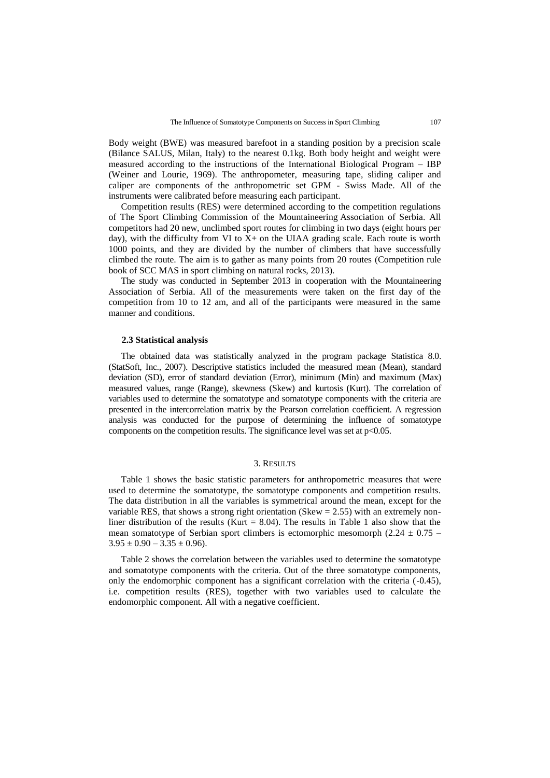Body weight (BWE) was measured barefoot in a standing position by a precision scale (Bilance SALUS, Milan, Italy) to the nearest 0.1kg. Both body height and weight were measured according to the instructions of the International Biological Program – IBP (Weiner and Lourie, 1969). The anthropometer, measuring tape, sliding caliper and caliper are components of the anthropometric set GPM - Swiss Made. All of the instruments were calibrated before measuring each participant.

Competition results (RES) were determined according to the competition regulations of The Sport Climbing Commission of the Mountaineering Association of Serbia. All competitors had 20 new, unclimbed sport routes for climbing in two days (eight hours per day), with the difficulty from VI to  $X<sub>+</sub>$  on the UIAA grading scale. Each route is worth 1000 points, and they are divided by the number of climbers that have successfully climbed the route. The aim is to gather as many points from 20 routes (Competition rule book of SCC MAS in sport climbing on natural rocks, 2013).

The study was conducted in September 2013 in cooperation with the Mountaineering Association of Serbia. All of the measurements were taken on the first day of the competition from 10 to 12 am, and all of the participants were measured in the same manner and conditions.

#### **2.3 Statistical analysis**

The obtained data was statistically analyzed in the program package Statistica 8.0. (StatSoft, Inc., 2007). Descriptive statistics included the measured mean (Mean), standard deviation (SD), error of standard deviation (Error), minimum (Min) and maximum (Max) measured values, range (Range), skewness (Skew) and kurtosis (Kurt). The correlation of variables used to determine the somatotype and somatotype components with the criteria are presented in the intercorrelation matrix by the Pearson correlation coefficient. A regression analysis was conducted for the purpose of determining the influence of somatotype components on the competition results. The significance level was set at  $p<0.05$ .

#### 3. RESULTS

Table 1 shows the basic statistic parameters for anthropometric measures that were used to determine the somatotype, the somatotype components and competition results. The data distribution in all the variables is symmetrical around the mean, except for the variable RES, that shows a strong right orientation (Skew  $= 2.55$ ) with an extremely nonliner distribution of the results (Kurt =  $8.04$ ). The results in Table 1 also show that the mean somatotype of Serbian sport climbers is ectomorphic mesomorph (2.24  $\pm$  0.75 –  $3.95 \pm 0.90 - 3.35 \pm 0.96$ .

Table 2 shows the correlation between the variables used to determine the somatotype and somatotype components with the criteria. Out of the three somatotype components, only the endomorphic component has a significant correlation with the criteria (-0.45), i.e. competition results (RES), together with two variables used to calculate the endomorphic component. All with a negative coefficient.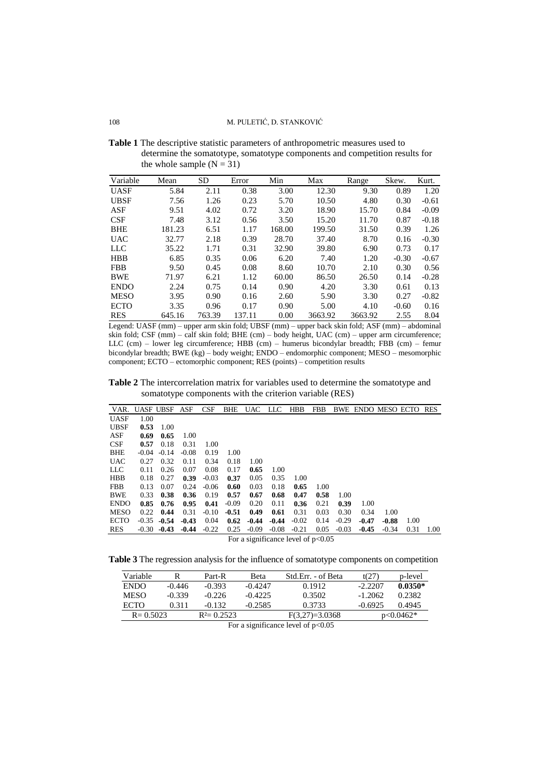**Table 1** The descriptive statistic parameters of anthropometric measures used to determine the somatotype, somatotype components and competition results for the whole sample  $(N = 31)$ 

| Variable    | Mean   | <b>SD</b> | Error  | Min    | Max     | Range   | Skew.   | Kurt.   |
|-------------|--------|-----------|--------|--------|---------|---------|---------|---------|
| <b>UASF</b> | 5.84   | 2.11      | 0.38   | 3.00   | 12.30   | 9.30    | 0.89    | 1.20    |
| <b>UBSF</b> | 7.56   | 1.26      | 0.23   | 5.70   | 10.50   | 4.80    | 0.30    | $-0.61$ |
| ASF         | 9.51   | 4.02      | 0.72   | 3.20   | 18.90   | 15.70   | 0.84    | $-0.09$ |
| CSF         | 7.48   | 3.12      | 0.56   | 3.50   | 15.20   | 11.70   | 0.87    | $-0.18$ |
| <b>BHE</b>  | 181.23 | 6.51      | 1.17   | 168.00 | 199.50  | 31.50   | 0.39    | 1.26    |
| <b>UAC</b>  | 32.77  | 2.18      | 0.39   | 28.70  | 37.40   | 8.70    | 0.16    | $-0.30$ |
| LLC         | 35.22  | 1.71      | 0.31   | 32.90  | 39.80   | 6.90    | 0.73    | 0.17    |
| <b>HBB</b>  | 6.85   | 0.35      | 0.06   | 6.20   | 7.40    | 1.20    | $-0.30$ | $-0.67$ |
| <b>FBB</b>  | 9.50   | 0.45      | 0.08   | 8.60   | 10.70   | 2.10    | 0.30    | 0.56    |
| <b>BWE</b>  | 71.97  | 6.21      | 1.12   | 60.00  | 86.50   | 26.50   | 0.14    | $-0.28$ |
| <b>ENDO</b> | 2.24   | 0.75      | 0.14   | 0.90   | 4.20    | 3.30    | 0.61    | 0.13    |
| <b>MESO</b> | 3.95   | 0.90      | 0.16   | 2.60   | 5.90    | 3.30    | 0.27    | $-0.82$ |
| <b>ECTO</b> | 3.35   | 0.96      | 0.17   | 0.90   | 5.00    | 4.10    | $-0.60$ | 0.16    |
| <b>RES</b>  | 645.16 | 763.39    | 137.11 | 0.00   | 3663.92 | 3663.92 | 2.55    | 8.04    |

Legend: UASF (mm) – upper arm skin fold; UBSF (mm) – upper back skin fold; ASF (mm) – abdominal skin fold; CSF (mm) – calf skin fold; BHE (cm) – body height, UAC (cm) – upper arm circumference; LLC (cm) – lower leg circumference; HBB (cm) – humerus bicondylar breadth; FBB (cm) – femur bicondylar breadth; BWE (kg) – body weight; ENDO – endomorphic component; MESO – mesomorphic component; ECTO – ectomorphic component; RES (points) – competition results

**Table 2** The intercorrelation matrix for variables used to determine the somatotype and somatotype components with the criterion variable (RES)

| 1.00                               |
|------------------------------------|
| 0.34<br>1.00                       |
| 1.00<br>$-0.47$<br>$-0.88$         |
| $-0.45$<br>$-0.34$<br>0.31<br>1.00 |
|                                    |

For a significance level of  $p<0.05$ 

**Table 3** The regression analysis for the influence of somatotype components on competition

| Variable     |          | Part-R         | Beta      | Std.Err. - of Beta | t(27)     | p-level     |
|--------------|----------|----------------|-----------|--------------------|-----------|-------------|
| ENDO.        | $-0.446$ | $-0.393$       | $-0.4247$ | 0.1912             | $-2.2207$ | $0.0350*$   |
| MESO         | $-0.339$ | $-0.226$       | $-0.4225$ | 0.3502             | $-1.2062$ | 0.2382      |
| <b>ECTO</b>  | 0.311    | $-0.132$       | $-0.2585$ | 0.3733             | $-0.6925$ | 0.4945      |
| $R = 0.5023$ |          | $R^2 = 0.2523$ |           | $F(3,27)=3.0368$   |           | $p<0.0462*$ |

For a significance level of  $p<0.05$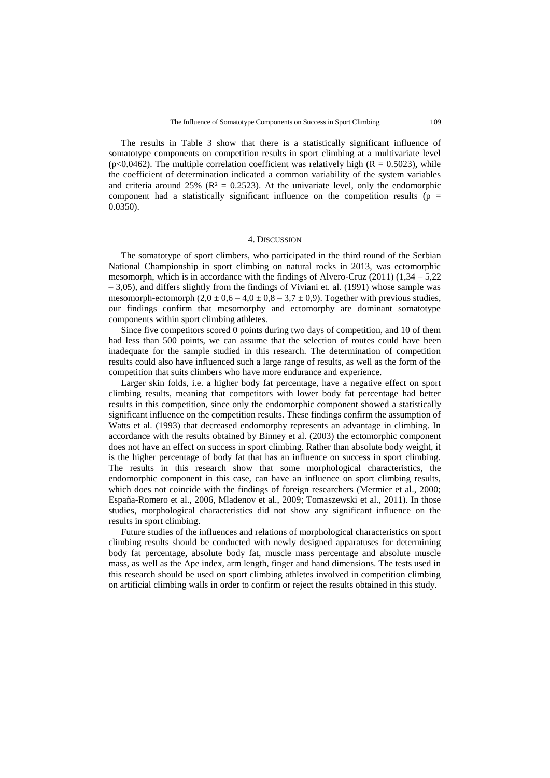The results in Table 3 show that there is a statistically significant influence of somatotype components on competition results in sport climbing at a multivariate level (p<0.0462). The multiple correlation coefficient was relatively high ( $R = 0.5023$ ), while the coefficient of determination indicated a common variability of the system variables and criteria around 25% ( $\mathbb{R}^2 = 0.2523$ ). At the univariate level, only the endomorphic component had a statistically significant influence on the competition results ( $p =$ 0.0350).

### 4. DISCUSSION

The somatotype of sport climbers, who participated in the third round of the Serbian National Championship in sport climbing on natural rocks in 2013, was ectomorphic mesomorph, which is in accordance with the findings of Alvero-Cruz  $(2011)$   $(1,34 - 5,22)$ – 3,05), and differs slightly from the findings of Viviani et. al. (1991) whose sample was mesomorph-ectomorph  $(2,0 \pm 0.6 - 4,0 \pm 0.8 - 3,7 \pm 0.9)$ . Together with previous studies, our findings confirm that mesomorphy and ectomorphy are dominant somatotype components within sport climbing athletes.

Since five competitors scored 0 points during two days of competition, and 10 of them had less than 500 points, we can assume that the selection of routes could have been inadequate for the sample studied in this research. The determination of competition results could also have influenced such a large range of results, as well as the form of the competition that suits climbers who have more endurance and experience.

Larger skin folds, i.e. a higher body fat percentage, have a negative effect on sport climbing results, meaning that competitors with lower body fat percentage had better results in this competition, since only the endomorphic component showed a statistically significant influence on the competition results. These findings confirm the assumption of Watts et al. (1993) that decreased endomorphy represents an advantage in climbing. In accordance with the results obtained by Binney et al. (2003) the ectomorphic component does not have an effect on success in sport climbing. Rather than absolute body weight, it is the higher percentage of body fat that has an influence on success in sport climbing. The results in this research show that some morphological characteristics, the endomorphic component in this case, can have an influence on sport climbing results, which does not coincide with the findings of foreign researchers (Mermier et al., 2000; España-Romero et al., 2006, Mladenov et al., 2009; Tomaszewski et al., 2011). In those studies, morphological characteristics did not show any significant influence on the results in sport climbing.

Future studies of the influences and relations of morphological characteristics on sport climbing results should be conducted with newly designed apparatuses for determining body fat percentage, absolute body fat, muscle mass percentage and absolute muscle mass, as well as the Ape index, arm length, finger and hand dimensions. The tests used in this research should be used on sport climbing athletes involved in competition climbing on artificial climbing walls in order to confirm or reject the results obtained in this study.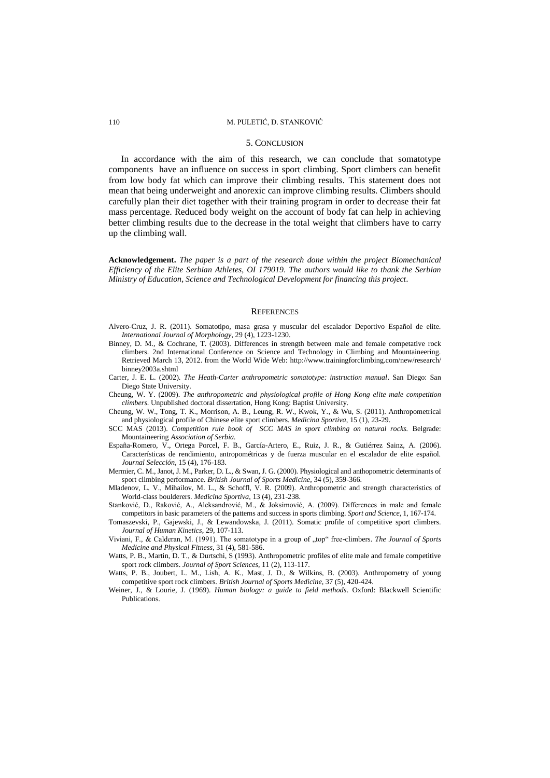#### 110 M. PULETIĆ, D. STANKOVIĆ

#### 5. CONCLUSION

In accordance with the aim of this research, we can conclude that somatotype components have an influence on success in sport climbing. Sport climbers can benefit from low body fat which can improve their climbing results. This statement does not mean that being underweight and anorexic can improve climbing results. Climbers should carefully plan their diet together with their training program in order to decrease their fat mass percentage. Reduced body weight on the account of body fat can help in achieving better climbing results due to the decrease in the total weight that climbers have to carry up the climbing wall.

**Acknowledgement.** *The paper is a part of the research done within the project Biomechanical Efficiency of the Elite Serbian Athletes, OI 179019. The authors would like to thank the Serbian Ministry of Education, Science and Technological Development for financing this project.*

#### **REFERENCES**

- Alvero-Cruz, J. R. (2011). Somatotipo, masa grasa y muscular del escalador Deportivo Español de elite. *International Journal of Morphology*, 29 (4), 1223-1230.
- Binney, D. M., & Cochrane, T. (2003). Differences in strength between male and female competative rock climbers. 2nd International Conference on Science and Technology in Climbing and Mountaineering. Retrieved March 13, 2012. from the World Wide Web: [http://www.trainingforclimbing.com/new/research/](http://www.trainingforclimbing.com/new/research/binney2003a.shtml) [binney2003a.shtml](http://www.trainingforclimbing.com/new/research/binney2003a.shtml)
- Carter, J. E. L. (2002). *The Heath-Carter anthropometric somatotype: instruction manual*. San Diego: San Diego State University.
- Cheung, W. Y. (2009). *The anthropometric and physiological profile of Hong Kong elite male competition climbers*. Unpublished doctoral dissertation, Hong Kong: Baptist University.
- Cheung, W. W., Tong, T. K., Morrison, A. B., Leung, R. W., Kwok, Y., & Wu, S. (2011). Anthropometrical and physiological profile of Chinese elite sport climbers. *Medicina Sportiva*, 15 (1), 23-29.
- SCC MAS (2013). *Competition rule book of SCC MAS in sport climbing on natural rocks.* Belgrade: Mountaineering *Association of Serbia.*
- España-Romero, V., Ortega Porcel, F. B., García-Artero, E., Ruiz, J. R., & Gutiérrez Sainz, A. (2006). Características de rendimiento, antropométricas y de fuerza muscular en el escalador de elite español. *Journal Selección*, 15 (4), 176-183.
- Mermier, C. M., Janot, J. M., Parker, D. L., & Swan, J. G. (2000). Physiological and anthopometric determinants of sport climbing performance. *British Journal of Sports Medicine*, 34 (5), 359-366.
- Mladenov, L. V., Mihailov, M. L., & Schoffl, V. R. (2009). Anthropometric and strength characteristics of World-class boulderers. *Medicina Sportiva*, 13 (4), 231-238.
- Stanković, D., Raković, A., Aleksandrović, M., & Joksimović, A. (2009). Differences in male and female competitors in basic parameters of the patterns and success in sports climbing. *Sport and Science*, 1, 167-174.
- Tomaszevski, P., Gajewski, J., & Lewandowska, J. (2011). Somatic profile of competitive sport climbers. *Journal of Human Kinetics*, 29, 107-113.
- Viviani, F., & Calderan, M. (1991). The somatotype in a group of "top" free-climbers. *The Journal of Sports Medicine and Physical Fitness*, 31 (4), 581-586.
- Watts, P. B., Martin, D. T., & Durtschi, S (1993). Anthropometric profiles of elite male and female competitive sport rock climbers. *Journal of Sport Sciences*, 11 (2), 113-117.
- Watts, P. B., Joubert, L. M., Lish, A. K., Mast, J. D., & Wilkins, B. (2003). Anthropometry of young competitive sport rock climbers. *British Journal of Sports Medicine*, 37 (5), 420-424.
- Weiner, J., & Lourie, J. (1969). *Human biology: a guide to field methods*. Oxford: Blackwell Scientific Publications.